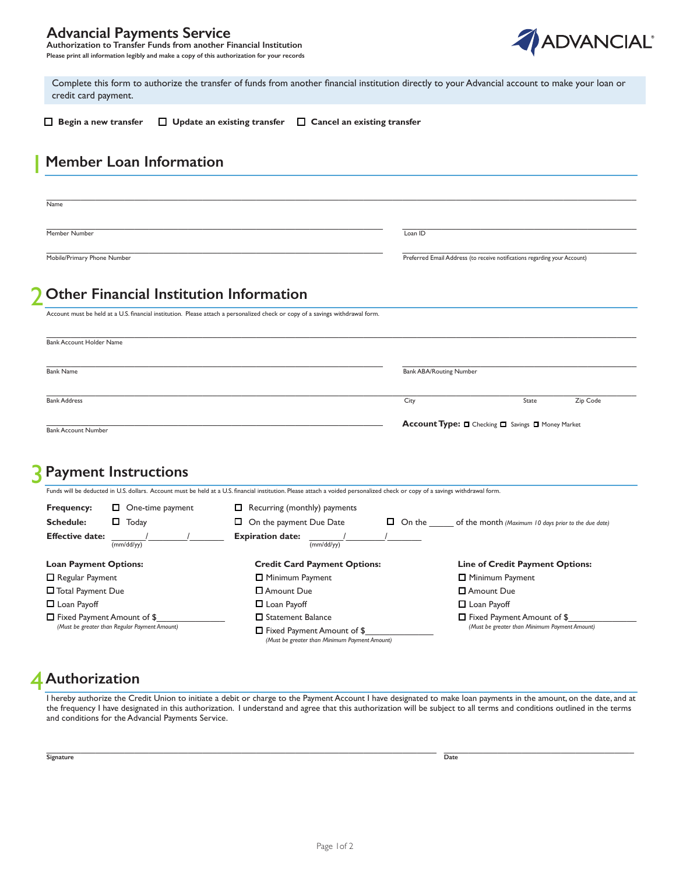#### **Advancial Payments Service**

**Authorization to Transfer Funds from another Financial Institution Please print all information legibly and make a copy of this authorization for your records** 



 credit card payment. Complete this form to authorize the transfer of funds from another financial institution directly to your Advancial account to make your loan or

 $\_$  , and the state of the state of the state of the state of the state of the state of the state of the state of the state of the state of the state of the state of the state of the state of the state of the state of the

 **Begin a new transfer Update an existing transfer Cancel an existing transfer**

# 1 **Member Loan Information**

Name

Member Number **Loan ID** 

Mobile/Primary Phone Number

 $\_$  , and the state of the state of the state of the state of the state of the state of the state of the state of the state of the state of the state of the state of the state of the state of the state of the state of the

\_\_\_\_\_\_\_\_\_\_\_\_\_\_\_\_\_\_\_\_\_\_\_\_\_\_\_\_\_\_\_\_\_\_\_\_\_\_\_\_\_\_\_\_\_\_\_\_\_\_\_\_\_\_\_\_\_\_\_\_\_\_\_\_\_\_\_\_\_ \_\_\_\_\_\_\_\_\_\_\_\_\_\_\_\_\_\_\_\_\_\_\_\_\_\_\_\_\_\_\_\_\_\_\_\_\_\_\_\_\_\_\_\_\_\_\_\_ Preferred Email Address (to receive notifications regarding your Account)

## 2 **Other Financial Institution Information**

| Account must be held at a U.S. financial institution. Please attach a personalized check or copy of a savings withdrawal form. |                                                   |       |          |
|--------------------------------------------------------------------------------------------------------------------------------|---------------------------------------------------|-------|----------|
|                                                                                                                                |                                                   |       |          |
| <b>Bank Account Holder Name</b>                                                                                                |                                                   |       |          |
|                                                                                                                                |                                                   |       |          |
| <b>Bank Name</b>                                                                                                               | <b>Bank ABA/Routing Number</b>                    |       |          |
|                                                                                                                                |                                                   |       |          |
| <b>Bank Address</b>                                                                                                            | City                                              | State | Zip Code |
| <b>Bank Account Number</b>                                                                                                     | Account Type: O Checking O Savings O Money Market |       |          |
|                                                                                                                                |                                                   |       |          |

### **Payment Instructions**

| Funds will be deducted in U.S. dollars. Account must be held at a U.S. financial institution. Please attach a voided personalized check or copy of a savings withdrawal form. |                         |                                     |  |  |
|-------------------------------------------------------------------------------------------------------------------------------------------------------------------------------|-------------------------|-------------------------------------|--|--|
| <b>Frequency:</b>                                                                                                                                                             | $\Box$ One-time payment | $\Box$ Recurring (monthly) payments |  |  |

| <b>Schedule:</b><br>Today                     | □<br>On the payment Due Date                                                       | $\Box$ On the<br>of the month (Maximum 10 days prior to the due date) |
|-----------------------------------------------|------------------------------------------------------------------------------------|-----------------------------------------------------------------------|
| <b>Effective date:</b><br>(mm/dd/yy)          | <b>Expiration date:</b><br>(mm/dd/yy)                                              |                                                                       |
| <b>Loan Payment Options:</b>                  | <b>Credit Card Payment Options:</b>                                                | <b>Line of Credit Payment Options:</b>                                |
| $\Box$ Regular Payment                        | $\Box$ Minimum Payment                                                             | Minimum Payment                                                       |
| <b>T</b> Total Payment Due                    | □ Amount Due                                                                       | Amount Due                                                            |
| $\Box$ Loan Payoff                            | $\Box$ Loan Payoff                                                                 | $\Box$ Loan Payoff                                                    |
| $\Box$ Fixed Payment Amount of \$             | $\Box$ Statement Balance                                                           | $\Box$ Fixed Payment Amount of \$                                     |
| (Must be greater than Regular Payment Amount) | $\Box$ Fixed Payment Amount of \$<br>(Must be greater than Minimum Payment Amount) | (Must be greater than Minimum Payment Amount)                         |

# **Authorization**  4

I hereby authorize the Credit Union to initiate a debit or charge to the Payment Account I have designated to make loan payments in the amount, on the date, and at the frequency I have designated in this authorization. I understand and agree that this authorization will be subject to all terms and conditions outlined in the terms and conditions for the Advancial Payments Service.

\_\_\_\_\_\_\_\_\_\_\_\_\_\_\_\_\_\_\_\_\_\_\_\_\_\_\_\_\_\_\_\_\_\_\_\_\_\_\_\_\_\_\_\_\_\_\_\_\_\_\_\_\_\_\_\_\_\_\_\_\_\_\_\_\_\_\_\_\_\_\_\_\_\_\_\_\_\_\_\_ \_\_\_\_\_\_\_\_\_\_\_\_\_\_\_\_\_\_\_\_\_\_\_\_\_\_\_\_\_\_\_\_\_\_\_\_\_\_\_ **Signature Date**